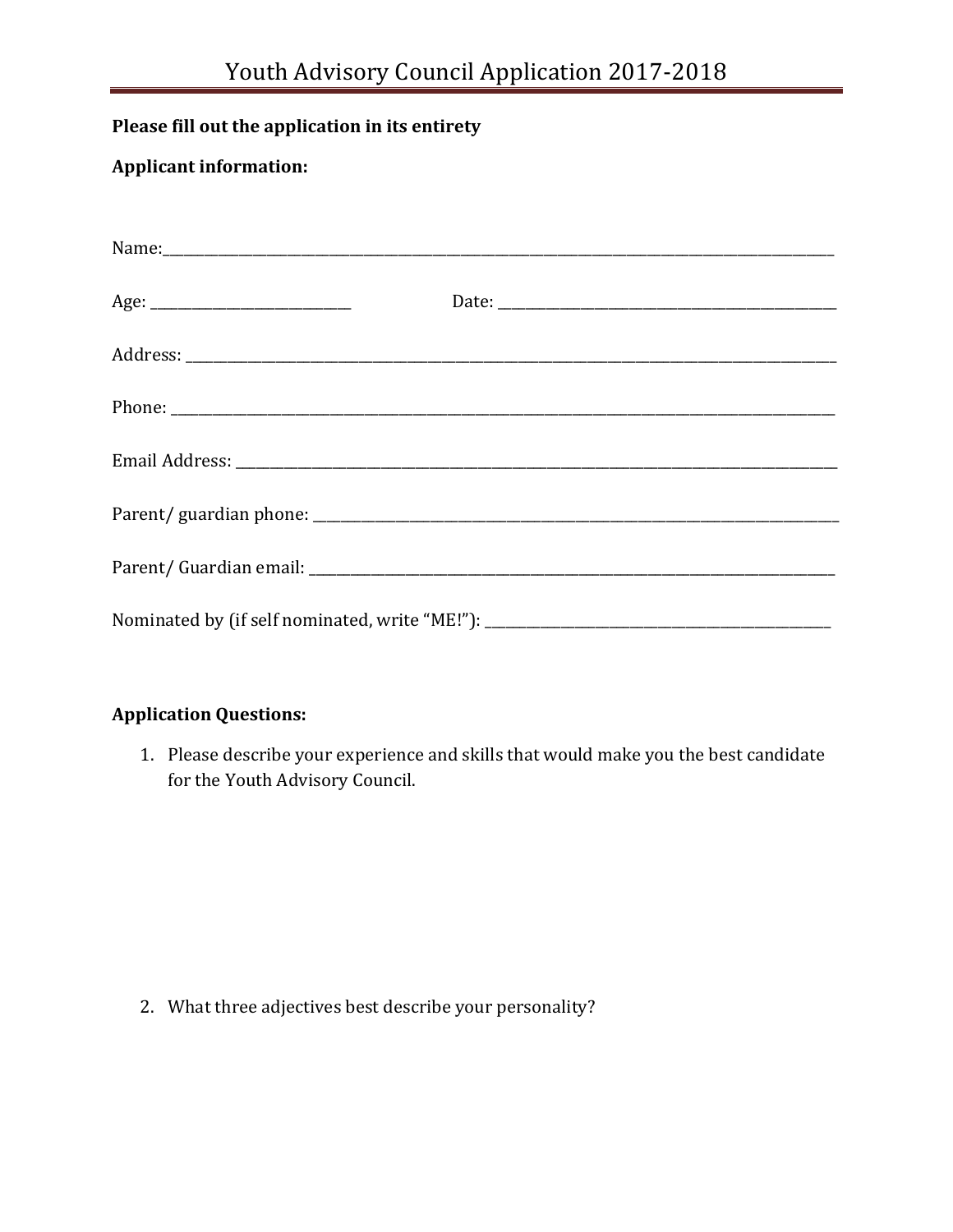## **Please fill out the application in its entirety**

## **Applicant information:**

| Nominated by (if self nominated, write "ME!"): __________________________________ |
|-----------------------------------------------------------------------------------|

## **Application Questions:**

1. Please describe your experience and skills that would make you the best candidate for the Youth Advisory Council.

2. What three adjectives best describe your personality?